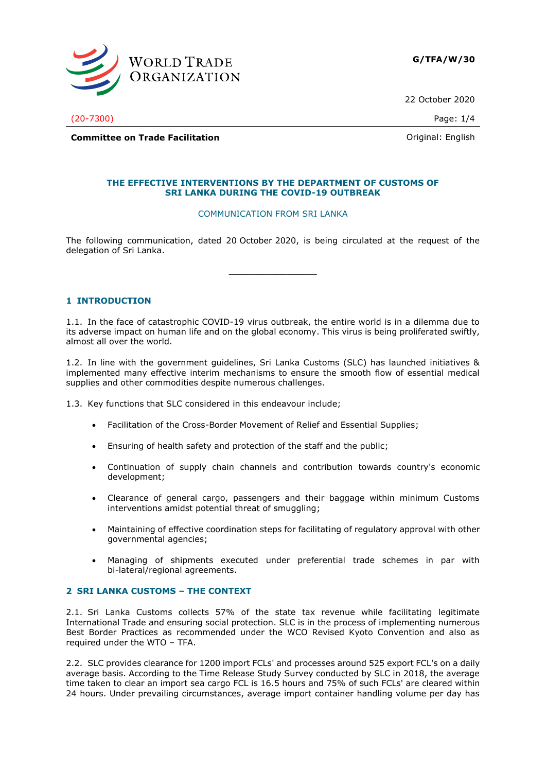

22 October 2020

(20-7300) Page: 1/4

**Committee on Trade Facilitation** and the committee of Trade Facilitation and Trade Trade Committee on Trade Facilitation

## **THE EFFECTIVE INTERVENTIONS BY THE DEPARTMENT OF CUSTOMS OF SRI LANKA DURING THE COVID-19 OUTBREAK**

#### COMMUNICATION FROM SRI LANKA

The following communication, dated 20 October 2020, is being circulated at the request of the delegation of Sri Lanka.

**\_\_\_\_\_\_\_\_\_\_\_\_\_\_\_**

## **1 INTRODUCTION**

1.1. In the face of catastrophic COVID-19 virus outbreak, the entire world is in a dilemma due to its adverse impact on human life and on the global economy. This virus is being proliferated swiftly, almost all over the world.

1.2. In line with the government guidelines, Sri Lanka Customs (SLC) has launched initiatives & implemented many effective interim mechanisms to ensure the smooth flow of essential medical supplies and other commodities despite numerous challenges.

1.3. Key functions that SLC considered in this endeavour include;

- Facilitation of the Cross-Border Movement of Relief and Essential Supplies;
- Ensuring of health safety and protection of the staff and the public;
- Continuation of supply chain channels and contribution towards country's economic development;
- Clearance of general cargo, passengers and their baggage within minimum Customs interventions amidst potential threat of smuggling;
- Maintaining of effective coordination steps for facilitating of regulatory approval with other governmental agencies;
- Managing of shipments executed under preferential trade schemes in par with bi-lateral/regional agreements.

## **2 SRI LANKA CUSTOMS – THE CONTEXT**

2.1. Sri Lanka Customs collects 57% of the state tax revenue while facilitating legitimate International Trade and ensuring social protection. SLC is in the process of implementing numerous Best Border Practices as recommended under the WCO Revised Kyoto Convention and also as required under the WTO – TFA.

2.2. SLC provides clearance for 1200 import FCLs' and processes around 525 export FCL's on a daily average basis. According to the Time Release Study Survey conducted by SLC in 2018, the average time taken to clear an import sea cargo FCL is 16.5 hours and 75% of such FCLs' are cleared within 24 hours. Under prevailing circumstances, average import container handling volume per day has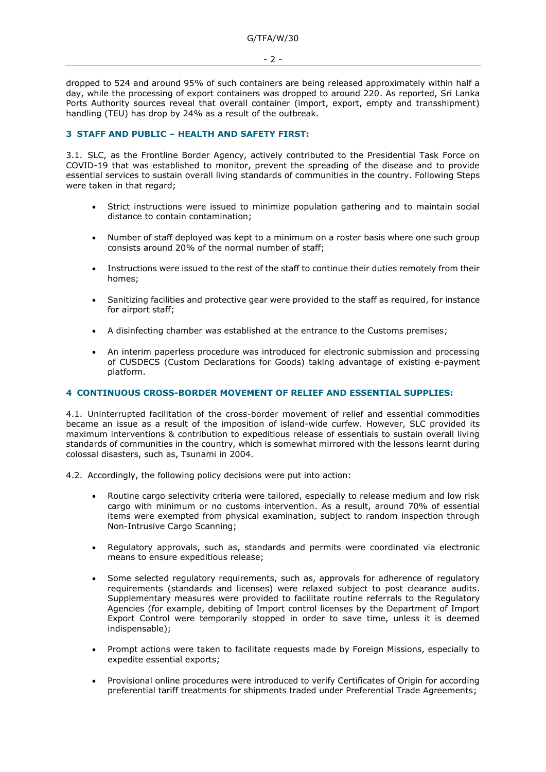dropped to 524 and around 95% of such containers are being released approximately within half a day, while the processing of export containers was dropped to around 220. As reported, Sri Lanka Ports Authority sources reveal that overall container (import, export, empty and transshipment) handling (TEU) has drop by 24% as a result of the outbreak.

## **3 STAFF AND PUBLIC – HEALTH AND SAFETY FIRST:**

3.1. SLC, as the Frontline Border Agency, actively contributed to the Presidential Task Force on COVID-19 that was established to monitor, prevent the spreading of the disease and to provide essential services to sustain overall living standards of communities in the country. Following Steps were taken in that regard;

- Strict instructions were issued to minimize population gathering and to maintain social distance to contain contamination;
- Number of staff deployed was kept to a minimum on a roster basis where one such group consists around 20% of the normal number of staff;
- Instructions were issued to the rest of the staff to continue their duties remotely from their homes;
- Sanitizing facilities and protective gear were provided to the staff as required, for instance for airport staff;
- A disinfecting chamber was established at the entrance to the Customs premises;
- An interim paperless procedure was introduced for electronic submission and processing of CUSDECS (Custom Declarations for Goods) taking advantage of existing e-payment platform.

## **4 CONTINUOUS CROSS-BORDER MOVEMENT OF RELIEF AND ESSENTIAL SUPPLIES:**

4.1. Uninterrupted facilitation of the cross-border movement of relief and essential commodities became an issue as a result of the imposition of island-wide curfew. However, SLC provided its maximum interventions & contribution to expeditious release of essentials to sustain overall living standards of communities in the country, which is somewhat mirrored with the lessons learnt during colossal disasters, such as, Tsunami in 2004.

4.2. Accordingly, the following policy decisions were put into action:

- Routine cargo selectivity criteria were tailored, especially to release medium and low risk cargo with minimum or no customs intervention. As a result, around 70% of essential items were exempted from physical examination, subject to random inspection through Non-Intrusive Cargo Scanning;
- Regulatory approvals, such as, standards and permits were coordinated via electronic means to ensure expeditious release;
- Some selected regulatory requirements, such as, approvals for adherence of regulatory requirements (standards and licenses) were relaxed subject to post clearance audits. Supplementary measures were provided to facilitate routine referrals to the Regulatory Agencies (for example, debiting of Import control licenses by the Department of Import Export Control were temporarily stopped in order to save time, unless it is deemed indispensable);
- Prompt actions were taken to facilitate requests made by Foreign Missions, especially to expedite essential exports;
- Provisional online procedures were introduced to verify Certificates of Origin for according preferential tariff treatments for shipments traded under Preferential Trade Agreements;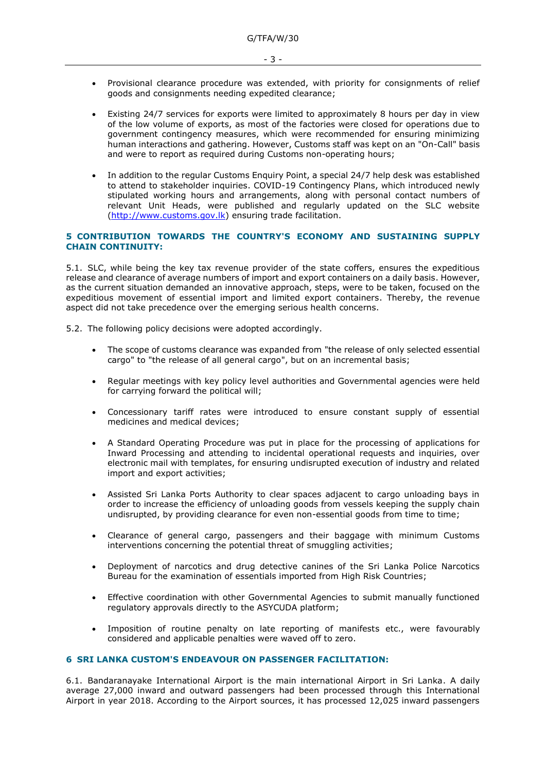- Provisional clearance procedure was extended, with priority for consignments of relief goods and consignments needing expedited clearance;
- Existing 24/7 services for exports were limited to approximately 8 hours per day in view of the low volume of exports, as most of the factories were closed for operations due to government contingency measures, which were recommended for ensuring minimizing human interactions and gathering. However, Customs staff was kept on an "On-Call" basis and were to report as required during Customs non-operating hours;
- In addition to the regular Customs Enquiry Point, a special 24/7 help desk was established to attend to stakeholder inquiries. COVID-19 Contingency Plans, which introduced newly stipulated working hours and arrangements, along with personal contact numbers of relevant Unit Heads, were published and regularly updated on the SLC website [\(http://www.customs.gov.lk\)](http://www.customs.gov.lk/) ensuring trade facilitation.

#### **5 CONTRIBUTION TOWARDS THE COUNTRY'S ECONOMY AND SUSTAINING SUPPLY CHAIN CONTINUITY:**

5.1. SLC, while being the key tax revenue provider of the state coffers, ensures the expeditious release and clearance of average numbers of import and export containers on a daily basis. However, as the current situation demanded an innovative approach, steps, were to be taken, focused on the expeditious movement of essential import and limited export containers. Thereby, the revenue aspect did not take precedence over the emerging serious health concerns.

5.2. The following policy decisions were adopted accordingly.

- The scope of customs clearance was expanded from "the release of only selected essential cargo" to "the release of all general cargo", but on an incremental basis;
- Regular meetings with key policy level authorities and Governmental agencies were held for carrying forward the political will;
- Concessionary tariff rates were introduced to ensure constant supply of essential medicines and medical devices;
- A Standard Operating Procedure was put in place for the processing of applications for Inward Processing and attending to incidental operational requests and inquiries, over electronic mail with templates, for ensuring undisrupted execution of industry and related import and export activities;
- Assisted Sri Lanka Ports Authority to clear spaces adjacent to cargo unloading bays in order to increase the efficiency of unloading goods from vessels keeping the supply chain undisrupted, by providing clearance for even non-essential goods from time to time;
- Clearance of general cargo, passengers and their baggage with minimum Customs interventions concerning the potential threat of smuggling activities;
- Deployment of narcotics and drug detective canines of the Sri Lanka Police Narcotics Bureau for the examination of essentials imported from High Risk Countries;
- Effective coordination with other Governmental Agencies to submit manually functioned regulatory approvals directly to the ASYCUDA platform;
- Imposition of routine penalty on late reporting of manifests etc., were favourably considered and applicable penalties were waved off to zero.

# **6 SRI LANKA CUSTOM'S ENDEAVOUR ON PASSENGER FACILITATION:**

6.1. Bandaranayake International Airport is the main international Airport in Sri Lanka. A daily average 27,000 inward and outward passengers had been processed through this International Airport in year 2018. According to the Airport sources, it has processed 12,025 inward passengers